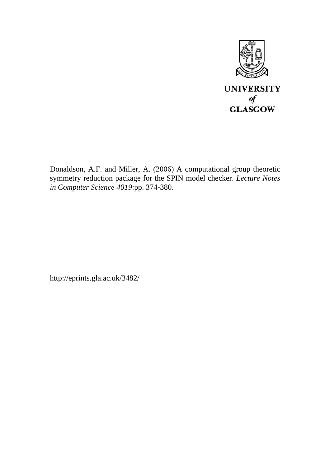

Donaldson, A.F. and Miller, A. (2006) A computational group theoretic symmetry reduction package for the SPIN model checker. *Lecture Notes in Computer Science 4019*:pp. 374-380.

http://eprints.gla.ac.uk/3482/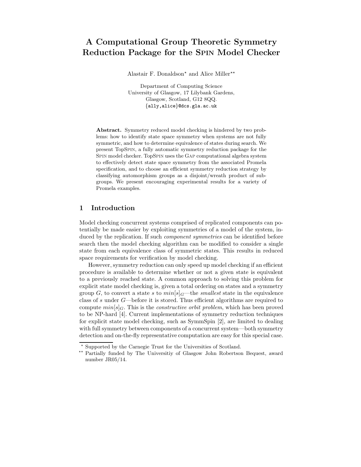# A Computational Group Theoretic Symmetry Reduction Package for the SPIN Model Checker

Alastair F. Donaldson<sup>\*</sup> and Alice Miller<sup>\*\*</sup>

Department of Computing Science University of Glasgow, 17 Lilybank Gardens, Glasgow, Scotland, G12 8QQ. {ally,alice}@dcs.gla.ac.uk

Abstract. Symmetry reduced model checking is hindered by two problems: how to identify state space symmetry when systems are not fully symmetric, and how to determine equivalence of states during search. We present TopSPIN, a fully automatic symmetry reduction package for the SPIN model checker. TopSPIN uses the GAP computational algebra system to effectively detect state space symmetry from the associated Promela specification, and to choose an efficient symmetry reduction strategy by classifying automorphism groups as a disjoint/wreath product of subgroups. We present encouraging experimental results for a variety of Promela examples.

# 1 Introduction

Model checking concurrent systems comprised of replicated components can potentially be made easier by exploiting symmetries of a model of the system, induced by the replication. If such *component symmetries* can be identified before search then the model checking algorithm can be modified to consider a single state from each equivalence class of symmetric states. This results in reduced space requirements for verification by model checking.

However, symmetry reduction can only speed up model checking if an efficient procedure is available to determine whether or not a given state is equivalent to a previously reached state. A common approach to solving this problem for explicit state model checking is, given a total ordering on states and a symmetry group G, to convert a state s to  $min[s]_G$ —the smallest state in the equivalence class of s under G—before it is stored. Thus efficient algorithms are required to compute  $min[s]_G$ . This is the *constructive orbit problem*, which has been proved to be NP-hard [4]. Current implementations of symmetry reduction techniques for explicit state model checking, such as SymmSpin [2], are limited to dealing with full symmetry between components of a concurrent system—both symmetry detection and on-the-fly representative computation are easy for this special case.

<sup>?</sup> Supported by the Carnegie Trust for the Universities of Scotland.

<sup>\*\*</sup> Partially funded by The Universitiy of Glasgow John Robertson Bequest, award number JR05/14.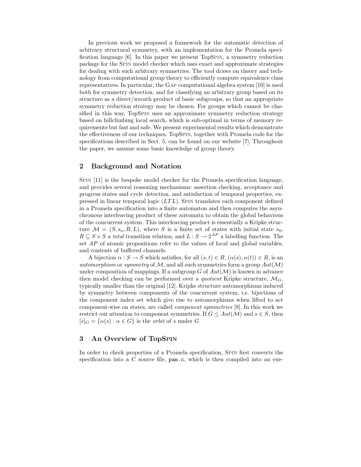In previous work we proposed a framework for the automatic detection of arbitrary structural symmetry, with an implementation for the Promela specification language [6]. In this paper we present TopSPIN, a symmetry reduction package for the SPIN model checker which uses exact and approximate strategies for dealing with such arbitrary symmetries. The tool draws on theory and technology from computational group theory to efficiently compute equivalence class representatives. In particular, the GAP computational algebra system [10] is used both for symmetry detection, and for classifying an arbitrary group based on its structure as a direct/wreath product of basic subgroups, so that an appropriate symmetry reduction strategy may be chosen. For groups which cannot be classified in this way, TopSPIN uses an approximate symmetry reduction strategy based on hillclimbing local search, which is sub-optimal in terms of memory requirements but fast and safe. We present experimental results which demonstrate the effectiveness of our techniques. TopSPIN, together with Promela code for the specifications described in Sect. 5, can be found on our website [7]. Throughout the paper, we assume some basic knowledge of group theory.

## 2 Background and Notation

SPIN [11] is the bespoke model checker for the Promela specification language, and provides several reasoning mechanisms: assertion checking, acceptance and progress states and cycle detection, and satisfaction of temporal properties, expressed in linear temporal logic (LTL). SPIN translates each component defined in a Promela specification into a finite automaton and then computes the asynchronous interleaving product of these automata to obtain the global behavious of the concurrent system. This interleaving product is essentially a Kripke structure  $\mathcal{M} = (S, s_o, R, L)$ , where S is a finite set of states with initial state  $s_0$ ,  $R \subseteq S \times S$  a total transition relation, and  $L : S \to 2^{AP}$  a labelling function. The set  $AP$  of atomic propositions refer to the values of local and global variables, and contents of buffered channels.

A bijection  $\alpha : S \to S$  which satisfies, for all  $(s,t) \in R$ ,  $(\alpha(s), \alpha(t)) \in R$ , is an *automorphism* or *symmetry* of  $M$ , and all such symmetries form a group  $Aut(M)$ under composition of mappings. If a subgroup G of  $Aut(\mathcal{M})$  is known in advance then model checking can be performed over a *quotient* Kripke structure,  $\mathcal{M}_G$ , typically smaller than the original [12]. Kripke structure automorphisms induced by symmetry between components of the concurrent system, i.e. bijections of the component index set which give rise to automorphisms when lifted to act component-wise on states, are called component symmetries [9]. In this work we restrict our attention to component symmetries. If  $G \leq Aut(M)$  and  $s \in S$ , then  $[s]_G = {\alpha(s) : \alpha \in G}$  is the *orbit* of s under G.

# 3 An Overview of TopSPIN

In order to check properties of a Promela specification, SPIN first converts the specification into a C source file,  $pan.c$ , which is then compiled into an exe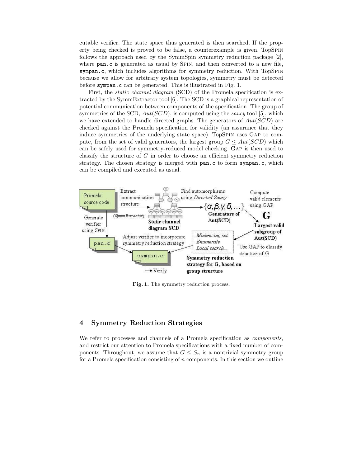cutable verifier. The state space thus generated is then searched. If the property being checked is proved to be false, a counterexample is given. TopSPIN follows the approach used by the SymmSpin symmetry reduction package [2], where  $pan.c$  is generated as usual by SPIN, and then converted to a new file, sympan.c, which includes algorithms for symmetry reduction. With TopSPIN because we allow for arbitrary system topologies, symmetry must be detected before sympan.c can be generated. This is illustrated in Fig. 1.

First, the static channel diagram (SCD) of the Promela specification is extracted by the SymmExtractor tool [6]. The SCD is a graphical representation of potential communication between components of the specification. The group of symmetries of the SCD,  $Aut(SCD)$ , is computed using the *saucy* tool [5], which we have extended to handle directed graphs. The generators of  $Aut(SCD)$  are checked against the Promela specification for validity (an assurance that they induce symmetries of the underlying state space). TopSPIN uses GAP to compute, from the set of valid generators, the largest group  $G \leq Aut(SCD)$  which can be safely used for symmetry-reduced model checking. GAP is then used to classify the structure of  $G$  in order to choose an efficient symmetry reduction strategy. The chosen strategy is merged with pan.c to form sympan.c, which can be compiled and executed as usual.



Fig. 1. The symmetry reduction process.

# 4 Symmetry Reduction Strategies

We refer to processes and channels of a Promela specification as *components*, and restrict our attention to Promela specifications with a fixed number of components. Throughout, we assume that  $G \leq S_n$  is a nontrivial symmetry group for a Promela specification consisting of  $n$  components. In this section we outline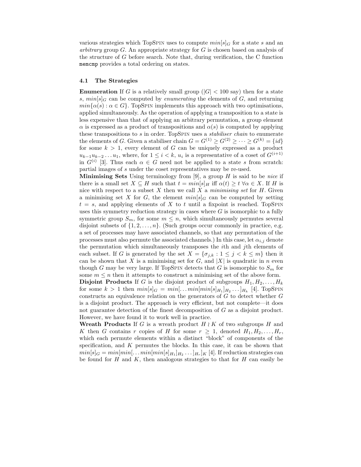various strategies which TopSPIN uses to compute  $min[s]_G$  for a state s and an arbitrary group  $G$ . An appropriate strategy for  $G$  is chosen based on analysis of the structure of G before search. Note that, during verification, the C function memcmp provides a total ordering on states.

#### 4.1 The Strategies

**Enumeration** If G is a relatively small group  $(|G| < 100$  say) then for a state s,  $min[s]$  can be computed by *enumerating* the elements of G, and returning  $min\{\alpha(s): \alpha \in G\}$ . TopSPIN implements this approach with two optimisations, applied simultaneously. As the operation of applying a transposition to a state is less expensive than that of applying an arbitrary permutation, a group element  $\alpha$  is expressed as a product of transpositions and  $\alpha(s)$  is computed by applying these transpositions to  $s$  in order. TopSPIN uses a *stabiliser chain* to enumerate the elements of G. Given a stabiliser chain  $G = G^{(1)} \geq G^{(2)} \geq \cdots \geq G^{(k)} = \{id\}$ for some  $k > 1$ , every element of G can be uniquely expressed as a product  $u_{k-1}u_{k-2} \ldots u_1$ , where, for  $1 \leq i < k$ ,  $u_i$  is a representative of a coset of  $G^{(i+1)}$ in  $G^{(i)}$  [3]. Thus each  $\alpha \in G$  need not be applied to a state s from scratch: partial images of s under the coset representatives may be re-used.

**Minimising Sets** Using terminology from [9], a group  $H$  is said to be nice if there is a small set  $X \subseteq H$  such that  $t = min[s]_H$  iff  $\alpha(t) \geq t \,\forall \alpha \in X$ . If H is nice with respect to a subset  $X$  then we call  $X$  a minimising set for  $H$ . Given a minimising set X for G, the element  $min[s]_G$  can be computed by setting  $t = s$ , and applying elements of X to t until a fixpoint is reached. TopSPIN uses this symmetry reduction strategy in cases where  $G$  is isomorphic to a fully symmetric group  $S_m$ , for some  $m \leq n$ , which simultaneously permutes several disjoint subsets of  $\{1, 2, \ldots, n\}$ . (Such groups occur commonly in practice, e.g. a set of processes may have associated channels, so that any permutation of the processes must also permute the associated channels.) In this case, let  $\alpha_{i,j}$  denote the permutation which simultaneously transposes the ith and jth elements of each subset. If G is generated by the set  $X = {\sigma_{j,k} : 1 \leq j \leq k \leq m}$  then it can be shown that X is a minimising set for G, and  $|X|$  is quadratic in n even though G may be very large. If TopSPIN detects that G is isomorphic to  $S_m$  for some  $m \leq n$  then it attempts to construct a minimising set of the above form.

**Disjoint Products** If G is the disjoint product of subgroups  $H_1, H_2, \ldots, H_k$ for some  $k > 1$  then  $min[s]_G = min[...min[min[s]_{H_1}]_{H_2}...]_{H_k}$  [4]. TopSpIN constructs an equivalence relation on the generators of  $G$  to detect whether  $G$ is a disjoint product. The approach is very efficient, but not complete—it does not guarantee detection of the finest decomposition of G as a disjoint product. However, we have found it to work well in practice.

**Wreath Products** If G is a wreath product  $H \nmid K$  of two subgroups H and K then G contains r copies of H for some  $r \geq 1$ , denoted  $H_1, H_2, \ldots, H_r$ , which each permute elements within a distinct "block" of components of the specification, and  $K$  permutes the blocks. In this case, it can be shown that  $min[s]_G = min[min[...min[min[s]_{H_1}]_{H_2}...]_{H_r}]_K$  [4]. If reduction strategies can be found for  $H$  and  $K$ , then analogous strategies to that for  $H$  can easily be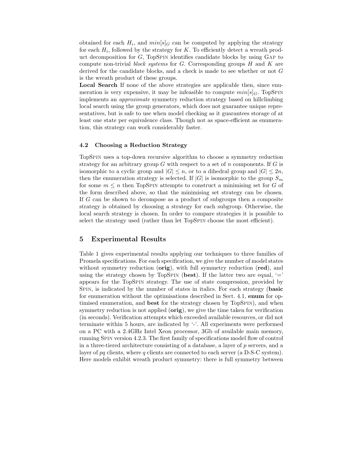obtained for each  $H_i$ , and  $min[s]_G$  can be computed by applying the strategy for each  $H_i$ , followed by the strategy for  $K$ . To efficiently detect a wreath product decomposition for G, TopSPIN identifies candidate blocks by using GAP to compute non-trivial block systems for  $G$ . Corresponding groups  $H$  and  $K$  are derived for the candidate blocks, and a check is made to see whether or not G is the wreath product of these groups.

Local Search If none of the above strategies are applicable then, since enumeration is very expensive, it may be infeasible to compute  $min[s]_G$ . TopSPIN implements an approximate symmetry reduction strategy based on hillclimbing local search using the group generators, which does not guarantee unique representatives, but is safe to use when model checking as it guarantees storage of at least one state per equivalence class. Though not as space-efficient as enumeration, this strategy can work considerably faster.

#### 4.2 Choosing a Reduction Strategy

TopSPIN uses a top-down recursive algorithm to choose a symmetry reduction strategy for an arbitrary group  $G$  with respect to a set of n components. If  $G$  is isomorphic to a cyclic group and  $|G| \leq n$ , or to a dihedral group and  $|G| \leq 2n$ , then the enumeration strategy is selected. If  $|G|$  is isomorphic to the group  $S_m$ for some  $m \leq n$  then TopSPIN attempts to construct a minimising set for G of the form described above, so that the minimising set strategy can be chosen. If G can be shown to decompose as a product of subgroups then a composite strategy is obtained by choosing a strategy for each subgroup. Otherwise, the local search strategy is chosen. In order to compare strategies it is possible to select the strategy used (rather than let TopSPIN choose the most efficient).

### 5 Experimental Results

Table 1 gives experimental results applying our techniques to three families of Promela specifications. For each specification, we give the number of model states without symmetry reduction  $(cri)$ , with full symmetry reduction  $(\text{red})$ , and using the strategy chosen by TopSPIN (best). If the latter two are equal,  $=$ appears for the TopSPIN strategy. The use of state compression, provided by SPIN, is indicated by the number of states in italics. For each strategy (basic for enumeration without the optimisations described in Sect. 4.1, enum for optimised enumeration, and best for the strategy chosen by TopSPIN), and when symmetry reduction is not applied (orig), we give the time taken for verification (in seconds). Verification attempts which exceeded available resources, or did not terminate within 5 hours, are indicated by '-'. All experiments were performed on a PC with a 2.4GHz Intel Xeon processor, 3Gb of available main memory, running SPIN version 4.2.3. The first family of specifications model flow of control in a three-tiered architecture consisting of a database, a layer of p servers, and a layer of  $pq$  clients, where q clients are connected to each server (a D-S-C system). Here models exhibit wreath product symmetry: there is full symmetry between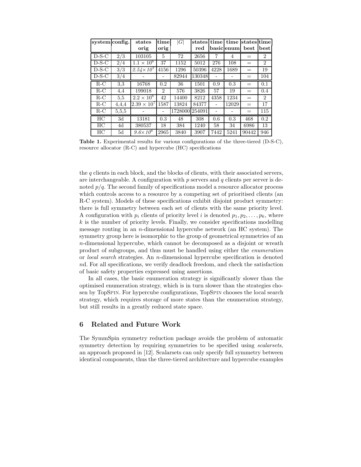| system config. |       | states               | time           | G              | states | time | time       | states time |                |
|----------------|-------|----------------------|----------------|----------------|--------|------|------------|-------------|----------------|
|                |       | orig                 | orig           |                | red    |      | basiclenum | best        | $_{\rm best}$  |
| $D-S-C$        | 2/3   | 103105               | 5              | 72             | 2656   | 7    | 4          | $=$         | $\overline{2}$ |
| $D-S-C$        | 2/4   | $1.1 \times 10^{6}$  | 37             | 1152           | 5012   | 276  | 108        | $=$         | $\overline{2}$ |
| $D-S-C$        | 3/3   | $2.54 \times 10^{7}$ | 4156           | 1296           | 50396  | 4228 | 1689       | $=$         | 19             |
| $D-S-C$        | 3/4   |                      |                | 82944          | 130348 |      |            | $=$         | 104            |
| $R-C$          | 3.3   | 16768                | 0.2            | 36             | 1501   | 0.9  | 0.3        | $=$         | 0.1            |
| $R-C$          | 4.4   | 199018               | $\overline{2}$ | 576            | 3826   | 57   | 19         | $=$         | 0.4            |
| $R-C$          | 5.5   | $2.2 \times 10^{6}$  | 42             | 14400          | 8212   | 4358 | 1234       | $=$         | $\overline{2}$ |
| $R-C$          | 4,4,4 | $2.39 \times 10^{7}$ | 1587           | 13824          | 84377  |      | 12029      | $=$         | 17             |
| $R-C$          | 5,5,5 |                      |                | 1728000 254091 |        |      |            | $=$         | 115            |
| HC             | 3d    | 13181                | 0.3            | 48             | 308    | 0.6  | 0.3        | 468         | 0.2            |
| HC             | 4d    | 380537               | 18             | 384            | 1240   | 58   | 34         | 6986        | 13             |
| HC             | 5d    | $9.6\times10^{6}$    | 2965           | 3840           | 3907   | 7442 | 5241       | 90442       | 946            |

Table 1. Experimental results for various configurations of the three-tiered (D-S-C), resource allocator (R-C) and hypercube (HC) specifications

the  $q$  clients in each block, and the blocks of clients, with their associated servers, are interchangeable. A configuration with  $p$  servers and  $q$  clients per server is denoted  $p/q$ . The second family of specifications model a resource allocator process which controls access to a resource by a competing set of prioritised clients (an R-C system). Models of these specifications exhibit disjoint product symmetry: there is full symmetry between each set of clients with the same priority level. A configuration with  $p_i$  clients of priority level i is denoted  $p_1, p_2, \ldots, p_k$ , where  $k$  is the number of priority levels. Finally, we consider specifications modelling message routing in an  $n$ -dimensional hypercube network (an HC system). The symmetry group here is isomorphic to the group of geometrical symmetries of an n-dimensional hypercube, which cannot be decomposed as a disjoint or wreath product of subgroups, and thus must be handled using either the enumeration or local search strategies. An n-dimensional hypercube specification is denoted nd. For all specifications, we verify deadlock freedom, and check the satisfaction of basic safety properties expressed using assertions.

In all cases, the basic enumeration strategy is significantly slower than the optimised enumeration strategy, which is in turn slower than the strategies chosen by TopSPIN. For hypercube configurations, TopSPIN chooses the local search strategy, which requires storage of more states than the enumeration strategy, but still results in a greatly reduced state space.

# 6 Related and Future Work

The SymmSpin symmetry reduction package avoids the problem of automatic symmetry detection by requiring symmetries to be specified using *scalarsets*. an approach proposed in [12]. Scalarsets can only specify full symmetry between identical components, thus the three-tiered architecture and hypercube examples